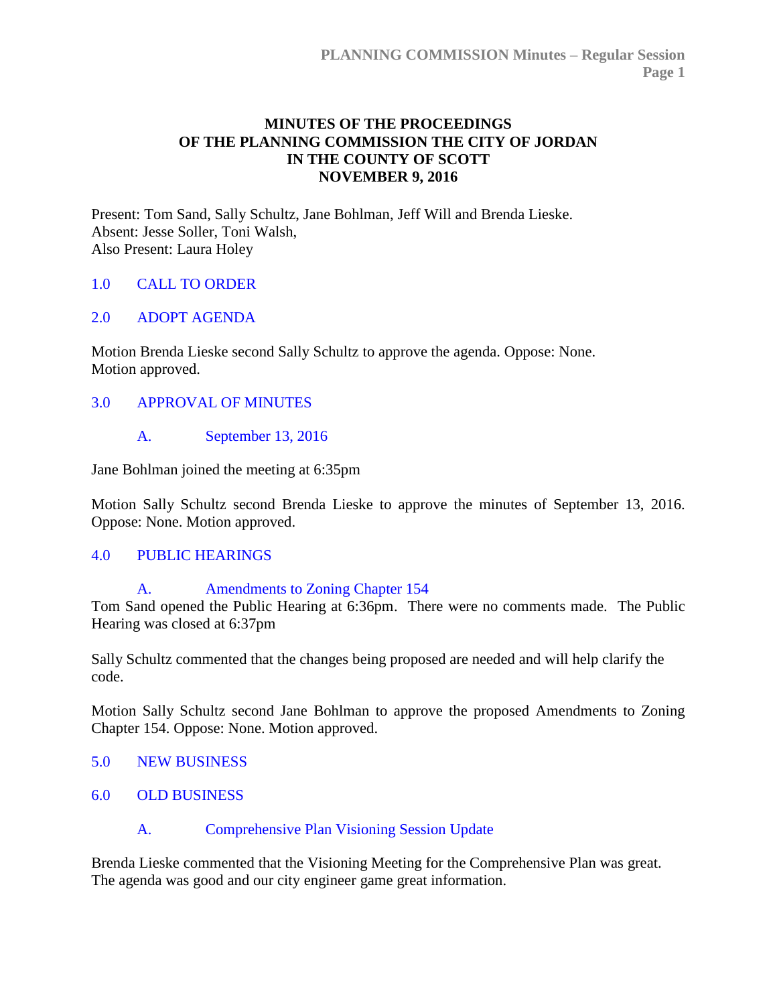### **MINUTES OF THE PROCEEDINGS OF THE PLANNING COMMISSION THE CITY OF JORDAN IN THE COUNTY OF SCOTT NOVEMBER 9, 2016**

Present: Tom Sand, Sally Schultz, Jane Bohlman, Jeff Will and Brenda Lieske. Absent: Jesse Soller, Toni Walsh, Also Present: Laura Holey

### 1.0 [CALL TO ORDER](http://jordan-mn.granicus.com/wordlinkreceiver.php?clip_id=6687fec5-c90a-4633-abee-4412793a116f&meta_id=18665429-272e-4b35-87f6-3876f5d41cbe&time=82)

### 2.0 [ADOPT AGENDA](http://jordan-mn.granicus.com/wordlinkreceiver.php?clip_id=6687fec5-c90a-4633-abee-4412793a116f&meta_id=ec9a565f-38e6-48dd-b4d7-a2d5865c9377&time=97)

Motion Brenda Lieske second Sally Schultz to approve the agenda. Oppose: None. Motion approved.

#### 3.0 [APPROVAL OF MINUTES](http://jordan-mn.granicus.com/wordlinkreceiver.php?clip_id=6687fec5-c90a-4633-abee-4412793a116f&meta_id=5d864a8f-52e3-463d-965c-3bbd72f5c8ab&time=109)

#### A. [September 13, 2016](http://jordan-mn.granicus.com/wordlinkreceiver.php?clip_id=6687fec5-c90a-4633-abee-4412793a116f&meta_id=7867a570-73a5-46da-b9d7-1b423971c2d9&time=111)

Jane Bohlman joined the meeting at 6:35pm

Motion Sally Schultz second Brenda Lieske to approve the minutes of September 13, 2016. Oppose: None. Motion approved.

#### 4.0 [PUBLIC HEARINGS](http://jordan-mn.granicus.com/wordlinkreceiver.php?clip_id=6687fec5-c90a-4633-abee-4412793a116f&meta_id=e854dd69-b91c-4f4d-9848-b27d90e12895&time=152)

#### A. [Amendments to Zoning Chapter 154](http://jordan-mn.granicus.com/wordlinkreceiver.php?clip_id=6687fec5-c90a-4633-abee-4412793a116f&meta_id=f3c23d92-46fb-4936-810f-6ecd4ee16c2d&time=156)

Tom Sand opened the Public Hearing at 6:36pm. There were no comments made. The Public Hearing was closed at 6:37pm

Sally Schultz commented that the changes being proposed are needed and will help clarify the code.

Motion Sally Schultz second Jane Bohlman to approve the proposed Amendments to Zoning Chapter 154. Oppose: None. Motion approved.

- 5.0 [NEW BUSINESS](http://jordan-mn.granicus.com/wordlinkreceiver.php?clip_id=6687fec5-c90a-4633-abee-4412793a116f&meta_id=b03f7859-ccfd-4d2f-a45d-1c57b8676366&time=827)
- 6.0 [OLD BUSINESS](http://jordan-mn.granicus.com/wordlinkreceiver.php?clip_id=6687fec5-c90a-4633-abee-4412793a116f&meta_id=eb27d3bc-fc2d-4ee6-bd56-3e7b4465efa5&time=837)

### A. [Comprehensive Plan Visioning Session Update](http://jordan-mn.granicus.com/wordlinkreceiver.php?clip_id=6687fec5-c90a-4633-abee-4412793a116f&meta_id=8de0905d-edb9-4e11-8eef-47cb33e6c37c&time=838)

Brenda Lieske commented that the Visioning Meeting for the Comprehensive Plan was great. The agenda was good and our city engineer game great information.